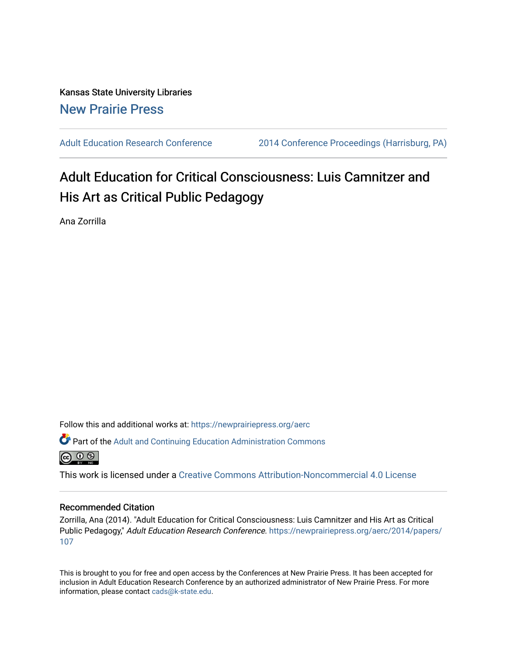## Kansas State University Libraries [New Prairie Press](https://newprairiepress.org/)

[Adult Education Research Conference](https://newprairiepress.org/aerc) [2014 Conference Proceedings \(Harrisburg, PA\)](https://newprairiepress.org/aerc/2014) 

# Adult Education for Critical Consciousness: Luis Camnitzer and His Art as Critical Public Pedagogy

Ana Zorrilla

Follow this and additional works at: [https://newprairiepress.org/aerc](https://newprairiepress.org/aerc?utm_source=newprairiepress.org%2Faerc%2F2014%2Fpapers%2F107&utm_medium=PDF&utm_campaign=PDFCoverPages)

Part of the [Adult and Continuing Education Administration Commons](http://network.bepress.com/hgg/discipline/789?utm_source=newprairiepress.org%2Faerc%2F2014%2Fpapers%2F107&utm_medium=PDF&utm_campaign=PDFCoverPages)



This work is licensed under a [Creative Commons Attribution-Noncommercial 4.0 License](https://creativecommons.org/licenses/by-nc/4.0/)

#### Recommended Citation

Zorrilla, Ana (2014). "Adult Education for Critical Consciousness: Luis Camnitzer and His Art as Critical Public Pedagogy," Adult Education Research Conference. [https://newprairiepress.org/aerc/2014/papers/](https://newprairiepress.org/aerc/2014/papers/107) [107](https://newprairiepress.org/aerc/2014/papers/107) 

This is brought to you for free and open access by the Conferences at New Prairie Press. It has been accepted for inclusion in Adult Education Research Conference by an authorized administrator of New Prairie Press. For more information, please contact [cads@k-state.edu](mailto:cads@k-state.edu).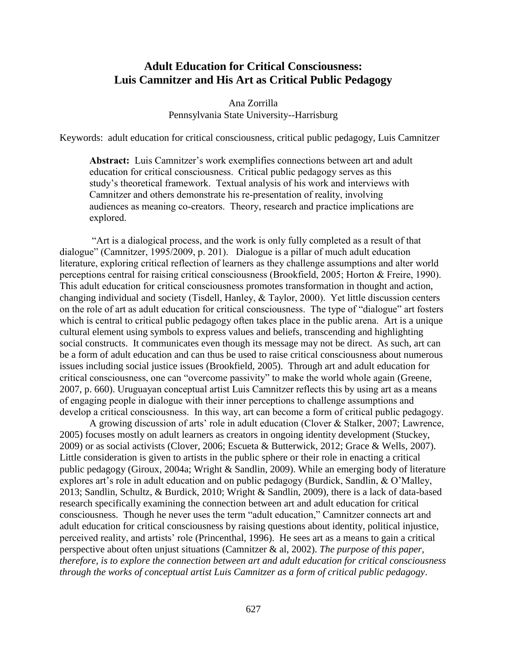### **Adult Education for Critical Consciousness: Luis Camnitzer and His Art as Critical Public Pedagogy**

Ana Zorrilla Pennsylvania State University--Harrisburg

Keywords: adult education for critical consciousness, critical public pedagogy, Luis Camnitzer

**Abstract:** Luis Camnitzer's work exemplifies connections between art and adult education for critical consciousness. Critical public pedagogy serves as this study's theoretical framework. Textual analysis of his work and interviews with Camnitzer and others demonstrate his re-presentation of reality, involving audiences as meaning co-creators. Theory, research and practice implications are explored.

"Art is a dialogical process, and the work is only fully completed as a result of that dialogue" (Camnitzer, 1995/2009, p. 201). Dialogue is a pillar of much adult education literature, exploring critical reflection of learners as they challenge assumptions and alter world perceptions central for raising critical consciousness (Brookfield, 2005; Horton & Freire, 1990). This adult education for critical consciousness promotes transformation in thought and action, changing individual and society (Tisdell, Hanley, & Taylor, 2000). Yet little discussion centers on the role of art as adult education for critical consciousness. The type of "dialogue" art fosters which is central to critical public pedagogy often takes place in the public arena. Art is a unique cultural element using symbols to express values and beliefs, transcending and highlighting social constructs. It communicates even though its message may not be direct. As such, art can be a form of adult education and can thus be used to raise critical consciousness about numerous issues including social justice issues (Brookfield, 2005). Through art and adult education for critical consciousness, one can "overcome passivity" to make the world whole again (Greene, 2007, p. 660). Uruguayan conceptual artist Luis Camnitzer reflects this by using art as a means of engaging people in dialogue with their inner perceptions to challenge assumptions and develop a critical consciousness. In this way, art can become a form of critical public pedagogy.

A growing discussion of arts' role in adult education (Clover & Stalker, 2007; Lawrence, 2005) focuses mostly on adult learners as creators in ongoing identity development (Stuckey, 2009) or as social activists (Clover, 2006; Escueta & Butterwick, 2012; Grace & Wells, 2007). Little consideration is given to artists in the public sphere or their role in enacting a critical public pedagogy (Giroux, 2004a; Wright & Sandlin, 2009). While an emerging body of literature explores art's role in adult education and on public pedagogy (Burdick, Sandlin, & O'Malley, 2013; Sandlin, Schultz, & Burdick, 2010; Wright & Sandlin, 2009), there is a lack of data-based research specifically examining the connection between art and adult education for critical consciousness. Though he never uses the term "adult education," Camnitzer connects art and adult education for critical consciousness by raising questions about identity, political injustice, perceived reality, and artists' role (Princenthal, 1996). He sees art as a means to gain a critical perspective about often unjust situations (Camnitzer & al, 2002). *The purpose of this paper, therefore, is to explore the connection between art and adult education for critical consciousness through the works of conceptual artist Luis Camnitzer as a form of critical public pedagogy*.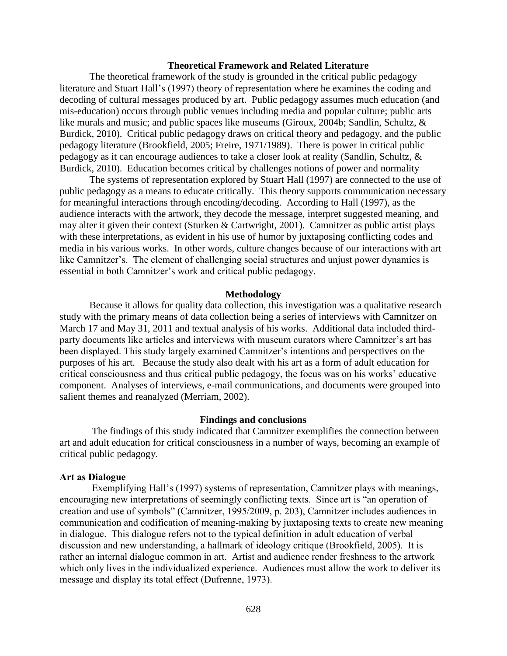#### **Theoretical Framework and Related Literature**

The theoretical framework of the study is grounded in the critical public pedagogy literature and Stuart Hall's (1997) theory of representation where he examines the coding and decoding of cultural messages produced by art. Public pedagogy assumes much education (and mis-education) occurs through public venues including media and popular culture; public arts like murals and music; and public spaces like museums (Giroux, 2004b; Sandlin, Schultz, & Burdick, 2010). Critical public pedagogy draws on critical theory and pedagogy, and the public pedagogy literature (Brookfield, 2005; Freire, 1971/1989). There is power in critical public pedagogy as it can encourage audiences to take a closer look at reality (Sandlin, Schultz, & Burdick, 2010). Education becomes critical by challenges notions of power and normality

The systems of representation explored by Stuart Hall (1997) are connected to the use of public pedagogy as a means to educate critically. This theory supports communication necessary for meaningful interactions through encoding/decoding. According to Hall (1997), as the audience interacts with the artwork, they decode the message, interpret suggested meaning, and may alter it given their context (Sturken & Cartwright, 2001). Camnitzer as public artist plays with these interpretations, as evident in his use of humor by juxtaposing conflicting codes and media in his various works. In other words, culture changes because of our interactions with art like Camnitzer's. The element of challenging social structures and unjust power dynamics is essential in both Camnitzer's work and critical public pedagogy.

#### **Methodology**

Because it allows for quality data collection, this investigation was a qualitative research study with the primary means of data collection being a series of interviews with Camnitzer on March 17 and May 31, 2011 and textual analysis of his works. Additional data included thirdparty documents like articles and interviews with museum curators where Camnitzer's art has been displayed. This study largely examined Camnitzer's intentions and perspectives on the purposes of his art. Because the study also dealt with his art as a form of adult education for critical consciousness and thus critical public pedagogy, the focus was on his works' educative component. Analyses of interviews, e-mail communications, and documents were grouped into salient themes and reanalyzed (Merriam, 2002).

#### **Findings and conclusions**

The findings of this study indicated that Camnitzer exemplifies the connection between art and adult education for critical consciousness in a number of ways, becoming an example of critical public pedagogy.

#### **Art as Dialogue**

Exemplifying Hall's (1997) systems of representation, Camnitzer plays with meanings, encouraging new interpretations of seemingly conflicting texts. Since art is "an operation of creation and use of symbols" (Camnitzer, 1995/2009, p. 203), Camnitzer includes audiences in communication and codification of meaning-making by juxtaposing texts to create new meaning in dialogue. This dialogue refers not to the typical definition in adult education of verbal discussion and new understanding, a hallmark of ideology critique (Brookfield, 2005). It is rather an internal dialogue common in art. Artist and audience render freshness to the artwork which only lives in the individualized experience. Audiences must allow the work to deliver its message and display its total effect (Dufrenne, 1973).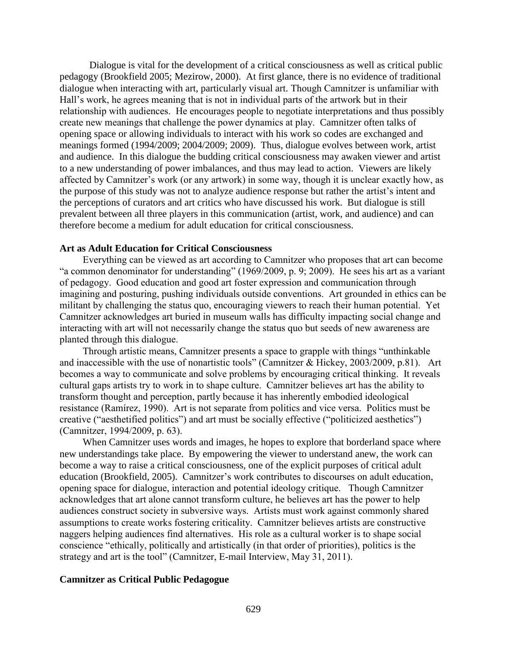Dialogue is vital for the development of a critical consciousness as well as critical public pedagogy (Brookfield 2005; Mezirow, 2000). At first glance, there is no evidence of traditional dialogue when interacting with art, particularly visual art. Though Camnitzer is unfamiliar with Hall's work, he agrees meaning that is not in individual parts of the artwork but in their relationship with audiences. He encourages people to negotiate interpretations and thus possibly create new meanings that challenge the power dynamics at play. Camnitzer often talks of opening space or allowing individuals to interact with his work so codes are exchanged and meanings formed (1994/2009; 2004/2009; 2009). Thus, dialogue evolves between work, artist and audience. In this dialogue the budding critical consciousness may awaken viewer and artist to a new understanding of power imbalances, and thus may lead to action. Viewers are likely affected by Camnitzer's work (or any artwork) in some way, though it is unclear exactly how, as the purpose of this study was not to analyze audience response but rather the artist's intent and the perceptions of curators and art critics who have discussed his work. But dialogue is still prevalent between all three players in this communication (artist, work, and audience) and can therefore become a medium for adult education for critical consciousness.

#### **Art as Adult Education for Critical Consciousness**

Everything can be viewed as art according to Camnitzer who proposes that art can become "a common denominator for understanding" (1969/2009, p. 9; 2009). He sees his art as a variant of pedagogy. Good education and good art foster expression and communication through imagining and posturing, pushing individuals outside conventions. Art grounded in ethics can be militant by challenging the status quo, encouraging viewers to reach their human potential. Yet Camnitzer acknowledges art buried in museum walls has difficulty impacting social change and interacting with art will not necessarily change the status quo but seeds of new awareness are planted through this dialogue.

Through artistic means, Camnitzer presents a space to grapple with things "unthinkable and inaccessible with the use of nonartistic tools" (Camnitzer & Hickey, 2003/2009, p.81). Art becomes a way to communicate and solve problems by encouraging critical thinking. It reveals cultural gaps artists try to work in to shape culture. Camnitzer believes art has the ability to transform thought and perception, partly because it has inherently embodied ideological resistance (Ramírez, 1990). Art is not separate from politics and vice versa. Politics must be creative ("aesthetified politics") and art must be socially effective ("politicized aesthetics") (Camnitzer, 1994/2009, p. 63).

When Camnitzer uses words and images, he hopes to explore that borderland space where new understandings take place. By empowering the viewer to understand anew, the work can become a way to raise a critical consciousness, one of the explicit purposes of critical adult education (Brookfield, 2005). Camnitzer's work contributes to discourses on adult education, opening space for dialogue, interaction and potential ideology critique. Though Camnitzer acknowledges that art alone cannot transform culture, he believes art has the power to help audiences construct society in subversive ways. Artists must work against commonly shared assumptions to create works fostering criticality. Camnitzer believes artists are constructive naggers helping audiences find alternatives. His role as a cultural worker is to shape social conscience "ethically, politically and artistically (in that order of priorities), politics is the strategy and art is the tool" (Camnitzer, E-mail Interview, May 31, 2011).

#### **Camnitzer as Critical Public Pedagogue**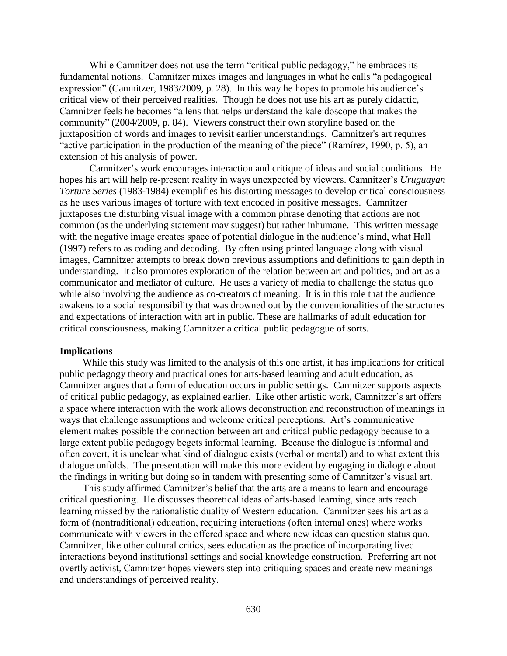While Camnitzer does not use the term "critical public pedagogy," he embraces its fundamental notions. Camnitzer mixes images and languages in what he calls "a pedagogical expression" (Camnitzer, 1983/2009, p. 28). In this way he hopes to promote his audience's critical view of their perceived realities. Though he does not use his art as purely didactic, Camnitzer feels he becomes "a lens that helps understand the kaleidoscope that makes the community" (2004/2009, p. 84). Viewers construct their own storyline based on the juxtaposition of words and images to revisit earlier understandings. Camnitzer's art requires "active participation in the production of the meaning of the piece" (Ramírez, 1990, p. 5), an extension of his analysis of power.

Camnitzer's work encourages interaction and critique of ideas and social conditions. He hopes his art will help re-present reality in ways unexpected by viewers. Camnitzer's *Uruguayan Torture Series* (1983-1984) exemplifies his distorting messages to develop critical consciousness as he uses various images of torture with text encoded in positive messages. Camnitzer juxtaposes the disturbing visual image with a common phrase denoting that actions are not common (as the underlying statement may suggest) but rather inhumane. This written message with the negative image creates space of potential dialogue in the audience's mind, what Hall (1997) refers to as coding and decoding. By often using printed language along with visual images, Camnitzer attempts to break down previous assumptions and definitions to gain depth in understanding. It also promotes exploration of the relation between art and politics, and art as a communicator and mediator of culture. He uses a variety of media to challenge the status quo while also involving the audience as co-creators of meaning. It is in this role that the audience awakens to a social responsibility that was drowned out by the conventionalities of the structures and expectations of interaction with art in public. These are hallmarks of adult education for critical consciousness, making Camnitzer a critical public pedagogue of sorts.

#### **Implications**

While this study was limited to the analysis of this one artist, it has implications for critical public pedagogy theory and practical ones for arts-based learning and adult education, as Camnitzer argues that a form of education occurs in public settings. Camnitzer supports aspects of critical public pedagogy, as explained earlier. Like other artistic work, Camnitzer's art offers a space where interaction with the work allows deconstruction and reconstruction of meanings in ways that challenge assumptions and welcome critical perceptions. Art's communicative element makes possible the connection between art and critical public pedagogy because to a large extent public pedagogy begets informal learning. Because the dialogue is informal and often covert, it is unclear what kind of dialogue exists (verbal or mental) and to what extent this dialogue unfolds. The presentation will make this more evident by engaging in dialogue about the findings in writing but doing so in tandem with presenting some of Camnitzer's visual art.

This study affirmed Camnitzer's belief that the arts are a means to learn and encourage critical questioning. He discusses theoretical ideas of arts-based learning, since arts reach learning missed by the rationalistic duality of Western education. Camnitzer sees his art as a form of (nontraditional) education, requiring interactions (often internal ones) where works communicate with viewers in the offered space and where new ideas can question status quo. Camnitzer, like other cultural critics, sees education as the practice of incorporating lived interactions beyond institutional settings and social knowledge construction. Preferring art not overtly activist, Camnitzer hopes viewers step into critiquing spaces and create new meanings and understandings of perceived reality.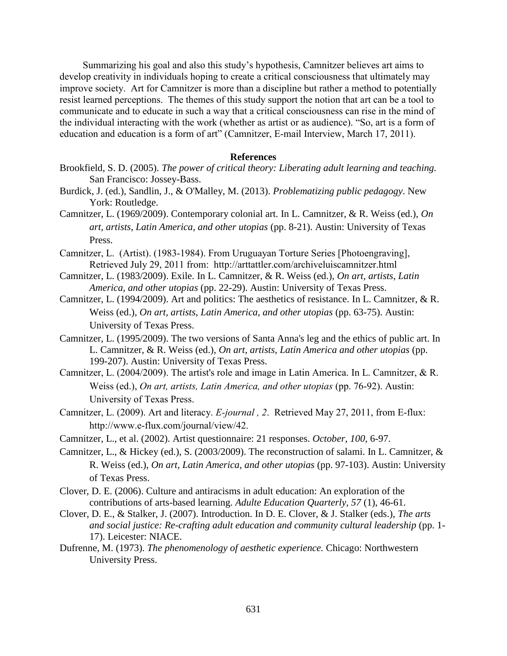Summarizing his goal and also this study's hypothesis, Camnitzer believes art aims to develop creativity in individuals hoping to create a critical consciousness that ultimately may improve society. Art for Camnitzer is more than a discipline but rather a method to potentially resist learned perceptions. The themes of this study support the notion that art can be a tool to communicate and to educate in such a way that a critical consciousness can rise in the mind of the individual interacting with the work (whether as artist or as audience). "So, art is a form of education and education is a form of art" (Camnitzer, E-mail Interview, March 17, 2011).

#### **References**

- Brookfield, S. D. (2005). *The power of critical theory: Liberating adult learning and teaching.* San Francisco: Jossey-Bass.
- Burdick, J. (ed.), Sandlin, J., & O'Malley, M. (2013). *Problematizing public pedagogy*. New York: Routledge.
- Camnitzer, L. (1969/2009). Contemporary colonial art. In L. Camnitzer, & R. Weiss (ed.), *On art, artists, Latin America, and other utopias* (pp. 8-21). Austin: University of Texas Press.
- Camnitzer, L. (Artist). (1983-1984). From Uruguayan Torture Series [Photoengraving], Retrieved July 29, 2011 from: http://arttattler.com/archiveluiscamnitzer.html
- Camnitzer, L. (1983/2009). Exile. In L. Camnitzer, & R. Weiss (ed.), *On art, artists, Latin America, and other utopias* (pp. 22-29). Austin: University of Texas Press.
- Camnitzer, L. (1994/2009). Art and politics: The aesthetics of resistance. In L. Camnitzer, & R. Weiss (ed.), *On art, artists, Latin America, and other utopias* (pp. 63-75). Austin: University of Texas Press.
- Camnitzer, L. (1995/2009). The two versions of Santa Anna's leg and the ethics of public art. In L. Camnitzer, & R. Weiss (ed.), *On art, artists, Latin America and other utopias* (pp. 199-207). Austin: University of Texas Press.
- Camnitzer, L. (2004/2009). The artist's role and image in Latin America. In L. Camnitzer, & R. Weiss (ed.), *On art, artists, Latin America, and other utopias* (pp. 76-92). Austin: University of Texas Press.
- Camnitzer, L. (2009). Art and literacy. *E-journal , 2*. Retrieved May 27, 2011, from E-flux: http://www.e-flux.com/journal/view/42.
- Camnitzer, L., et al. (2002). Artist questionnaire: 21 responses. *October*, *100*, 6-97.
- Camnitzer, L., & Hickey (ed.), S. (2003/2009). The reconstruction of salami. In L. Camnitzer, & R. Weiss (ed.), *On art, Latin America, and other utopias* (pp. 97-103). Austin: University of Texas Press.
- Clover, D. E. (2006). Culture and antiracisms in adult education: An exploration of the contributions of arts-based learning. *Adulte Education Quarterly, 57* (1), 46-61.
- Clover, D. E., & Stalker, J. (2007). Introduction. In D. E. Clover, & J. Stalker (eds.), *The arts and social justice: Re-crafting adult education and community cultural leadership* (pp. 1- 17). Leicester: NIACE.
- Dufrenne, M. (1973). *The phenomenology of aesthetic experience.* Chicago: Northwestern University Press.